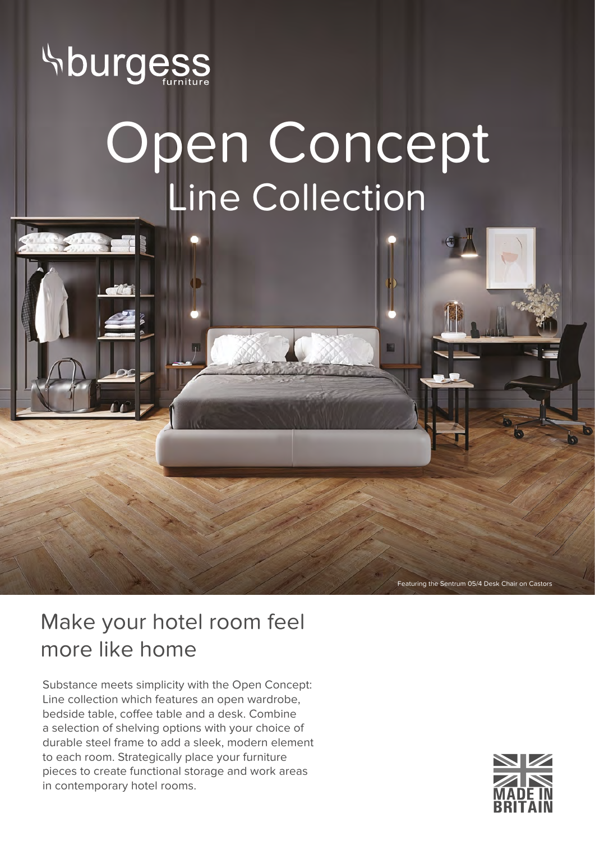

## Open Concept Line Collection

Featuring the Sentrum 05/4 Desk Chair on Castors

## Make your hotel room feel more like home

Substance meets simplicity with the Open Concept: Line collection which features an open wardrobe, bedside table, coffee table and a desk. Combine a selection of shelving options with your choice of durable steel frame to add a sleek, modern element to each room. Strategically place your furniture pieces to create functional storage and work areas in contemporary hotel rooms.